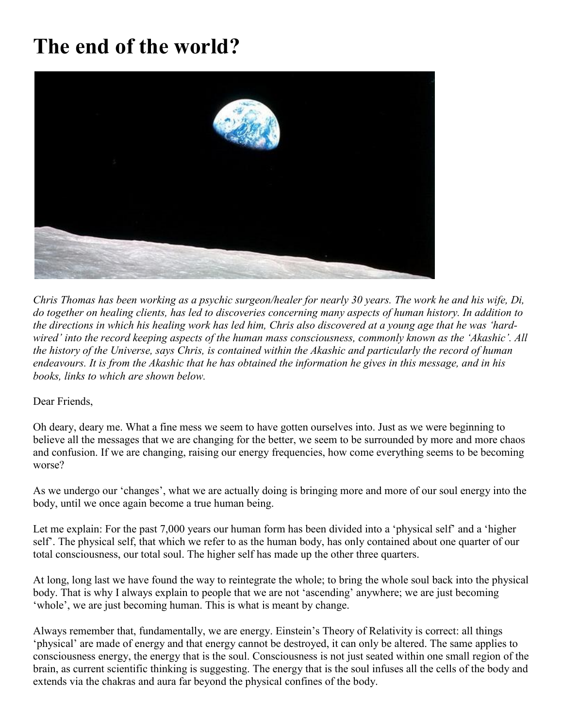## **The end of the world?**



*Chris Thomas has been working as a psychic surgeon/healer for nearly 30 years. The work he and his wife, Di, do together on healing clients, has led to discoveries concerning many aspects of human history. In addition to the directions in which his healing work has led him, Chris also discovered at a young age that he was 'hardwired' into the record keeping aspects of the human mass consciousness, commonly known as the 'Akashic'. All the history of the Universe, says Chris, is contained within the Akashic and particularly the record of human endeavours. It is from the Akashic that he has obtained the information he gives in this message, and in his books, links to which are shown below.*

Dear Friends,

Oh deary, deary me. What a fine mess we seem to have gotten ourselves into. Just as we were beginning to believe all the messages that we are changing for the better, we seem to be surrounded by more and more chaos and confusion. If we are changing, raising our energy frequencies, how come everything seems to be becoming worse?

As we undergo our 'changes', what we are actually doing is bringing more and more of our soul energy into the body, until we once again become a true human being.

Let me explain: For the past 7,000 years our human form has been divided into a 'physical self' and a 'higher self'. The physical self, that which we refer to as the human body, has only contained about one quarter of our total consciousness, our total soul. The higher self has made up the other three quarters.

At long, long last we have found the way to reintegrate the whole; to bring the whole soul back into the physical body. That is why I always explain to people that we are not 'ascending' anywhere; we are just becoming 'whole', we are just becoming human. This is what is meant by change.

Always remember that, fundamentally, we are energy. Einstein's Theory of Relativity is correct: all things 'physical' are made of energy and that energy cannot be destroyed, it can only be altered. The same applies to consciousness energy, the energy that is the soul. Consciousness is not just seated within one small region of the brain, as current scientific thinking is suggesting. The energy that is the soul infuses all the cells of the body and extends via the chakras and aura far beyond the physical confines of the body.